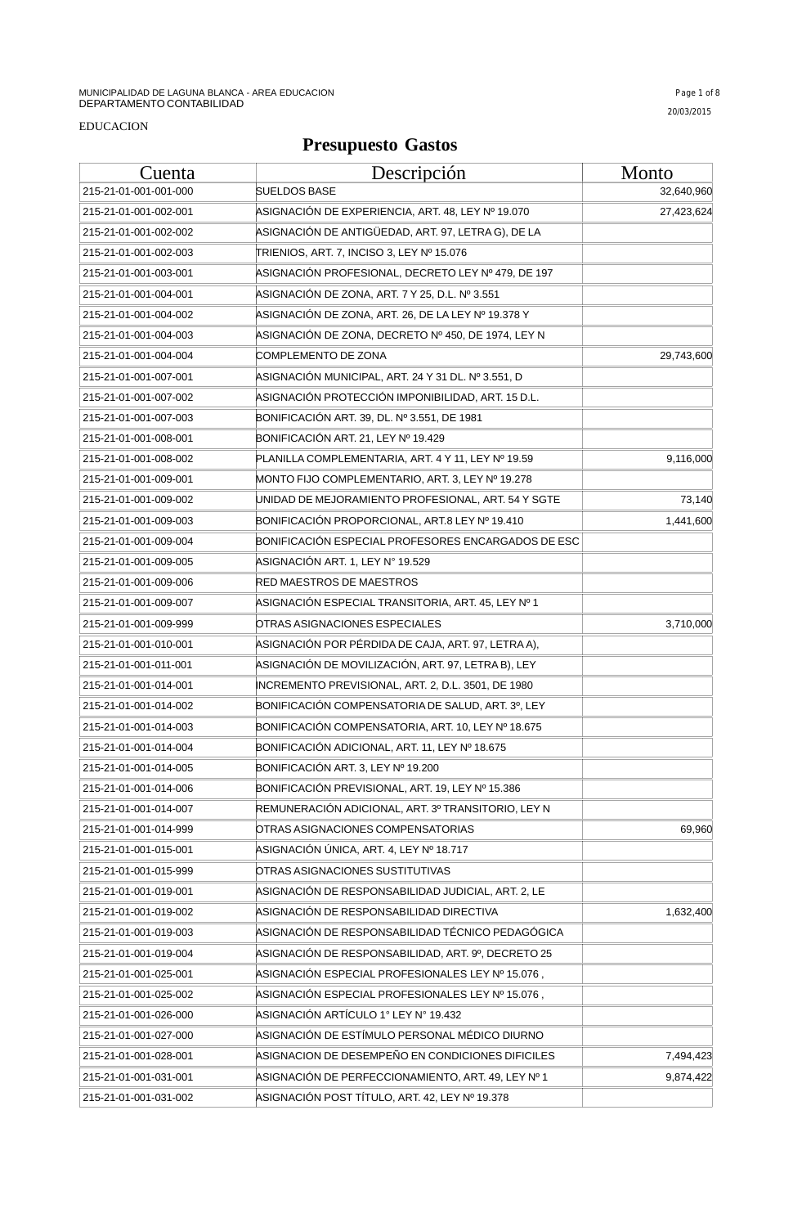#### EDUCACION

| Cuenta                | <u>Descripción</u>                                 | <b>Monto</b> |
|-----------------------|----------------------------------------------------|--------------|
| 215-21-01-001-001-000 | <b>SUELDOS BASE</b>                                | 32,640,960   |
| 215-21-01-001-002-001 | ASIGNACIÓN DE EXPERIENCIA, ART. 48, LEY Nº 19.070  | 27,423,624   |
| 215-21-01-001-002-002 | ASIGNACIÓN DE ANTIGÜEDAD, ART. 97, LETRA G), DE LA |              |
| 215-21-01-001-002-003 | TRIENIOS, ART. 7, INCISO 3, LEY Nº 15.076          |              |
| 215-21-01-001-003-001 | ASIGNACIÓN PROFESIONAL, DECRETO LEY Nº 479, DE 197 |              |
| 215-21-01-001-004-001 | ASIGNACIÓN DE ZONA, ART. 7 Y 25, D.L. Nº 3.551     |              |
| 215-21-01-001-004-002 | ASIGNACIÓN DE ZONA, ART. 26, DE LA LEY Nº 19.378 Y |              |
| 215-21-01-001-004-003 | ASIGNACIÓN DE ZONA, DECRETO Nº 450, DE 1974, LEY N |              |
| 215-21-01-001-004-004 | COMPLEMENTO DE ZONA                                | 29,743,600   |
| 215-21-01-001-007-001 | ASIGNACIÓN MUNICIPAL, ART. 24 Y 31 DL. Nº 3.551, D |              |
| 215-21-01-001-007-002 | ASIGNACIÓN PROTECCIÓN IMPONIBILIDAD, ART. 15 D.L.  |              |
| 215-21-01-001-007-003 | BONIFICACIÓN ART. 39, DL. Nº 3.551, DE 1981        |              |
| 215-21-01-001-008-001 | BONIFICACIÓN ART. 21, LEY Nº 19.429                |              |
| 215-21-01-001-008-002 | PLANILLA COMPLEMENTARIA, ART. 4 Y 11, LEY Nº 19.59 | 9,116,000    |
| 215-21-01-001-009-001 | MONTO FIJO COMPLEMENTARIO, ART. 3, LEY Nº 19.278   |              |
| 215-21-01-001-009-002 | UNIDAD DE MEJORAMIENTO PROFESIONAL, ART. 54 Y SGTE | 73,140       |
| 215-21-01-001-009-003 | BONIFICACIÓN PROPORCIONAL, ART.8 LEY Nº 19.410     | 1,441,600    |
| 215-21-01-001-009-004 | BONIFICACIÓN ESPECIAL PROFESORES ENCARGADOS DE ESC |              |
| 215-21-01-001-009-005 | ASIGNACIÓN ART. 1, LEY Nº 19.529                   |              |
| 215-21-01-001-009-006 | <b>RED MAESTROS DE MAESTROS</b>                    |              |
| 215-21-01-001-009-007 | ASIGNACIÓN ESPECIAL TRANSITORIA, ART. 45, LEY № 1  |              |
| 215-21-01-001-009-999 | OTRAS ASIGNACIONES ESPECIALES                      | 3,710,000    |
| 215-21-01-001-010-001 | ASIGNACIÓN POR PÉRDIDA DE CAJA, ART. 97, LETRA A), |              |
| 215-21-01-001-011-001 | ASIGNACIÓN DE MOVILIZACIÓN, ART. 97, LETRA B), LEY |              |
| 215-21-01-001-014-001 | INCREMENTO PREVISIONAL, ART. 2, D.L. 3501, DE 1980 |              |
| 215-21-01-001-014-002 | BONIFICACIÓN COMPENSATORIA DE SALUD, ART. 3º, LEY  |              |
| 215-21-01-001-014-003 | BONIFICACIÓN COMPENSATORIA, ART. 10, LEY Nº 18.675 |              |
| 215-21-01-001-014-004 | BONIFICACIÓN ADICIONAL, ART. 11, LEY Nº 18.675     |              |
| 215-21-01-001-014-005 | BONIFICACIÓN ART. 3, LEY Nº 19.200                 |              |
| 215-21-01-001-014-006 | BONIFICACIÓN PREVISIONAL, ART. 19, LEY Nº 15.386   |              |
| 215-21-01-001-014-007 | REMUNERACIÓN ADICIONAL, ART. 3º TRANSITORIO, LEY N |              |
| 215-21-01-001-014-999 | OTRAS ASIGNACIONES COMPENSATORIAS                  | 69,960       |
| 215-21-01-001-015-001 | ASIGNACIÓN ÚNICA, ART. 4, LEY Nº 18.717            |              |
| 215-21-01-001-015-999 | OTRAS ASIGNACIONES SUSTITUTIVAS                    |              |
| 215-21-01-001-019-001 | ASIGNACIÓN DE RESPONSABILIDAD JUDICIAL, ART. 2, LE |              |
| 215-21-01-001-019-002 | ASIGNACIÓN DE RESPONSABILIDAD DIRECTIVA            | 1,632,400    |
| 215-21-01-001-019-003 | ASIGNACIÓN DE RESPONSABILIDAD TÉCNICO PEDAGÓGICA   |              |
| 215-21-01-001-019-004 | ASIGNACIÓN DE RESPONSABILIDAD, ART. 9º, DECRETO 25 |              |
| 215-21-01-001-025-001 | ASIGNACIÓN ESPECIAL PROFESIONALES LEY № 15.076 ,   |              |
| 215-21-01-001-025-002 | ASIGNACIÓN ESPECIAL PROFESIONALES LEY Nº 15.076,   |              |
| 215-21-01-001-026-000 | ASIGNACIÓN ARTÍCULO 1º LEY Nº 19.432               |              |
| 215-21-01-001-027-000 | ASIGNACIÓN DE ESTÍMULO PERSONAL MÉDICO DIURNO      |              |
| 215-21-01-001-028-001 | ASIGNACION DE DESEMPEÑO EN CONDICIONES DIFICILES   | 7,494,423    |
| 215-21-01-001-031-001 | ASIGNACIÓN DE PERFECCIONAMIENTO, ART. 49, LEY № 1  | 9,874,422    |
| 215-21-01-001-031-002 | ASIGNACIÓN POST TÍTULO, ART. 42, LEY Nº 19.378     |              |
|                       |                                                    |              |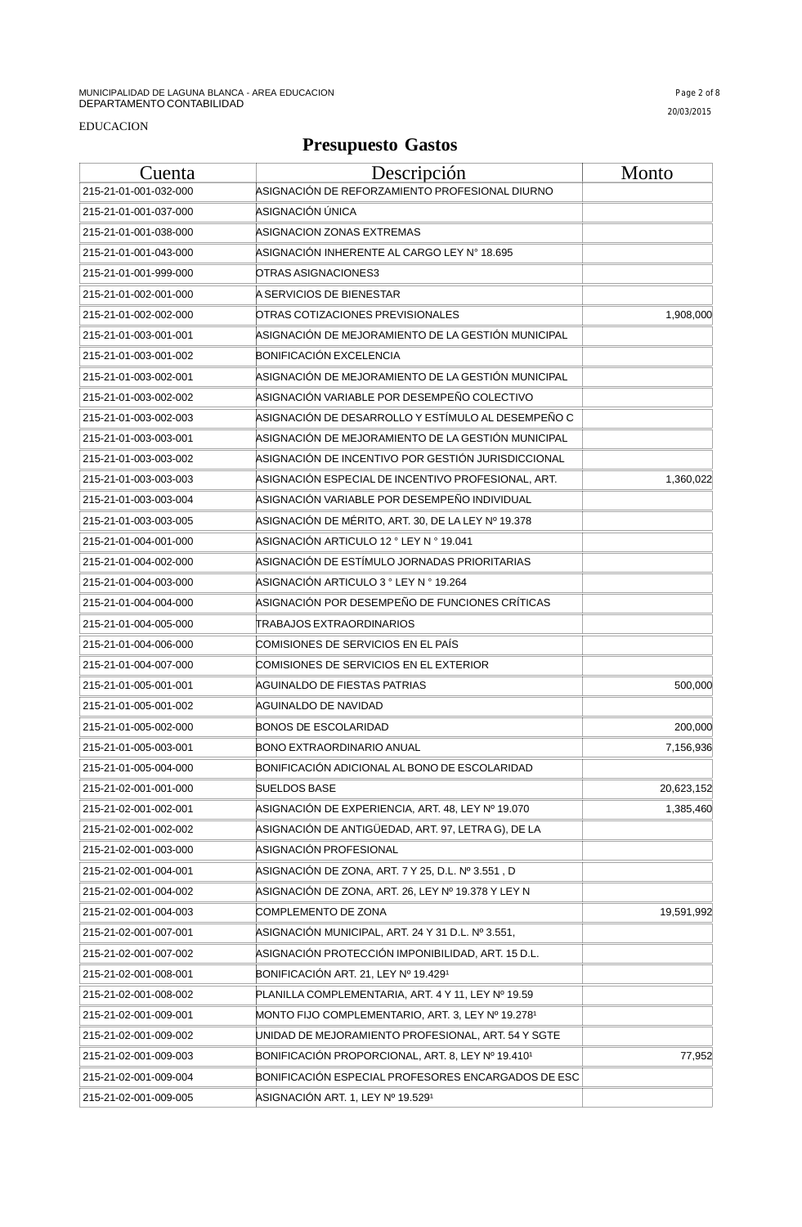| Cuenta                | <u>Descripción</u>                                 | Monto      |
|-----------------------|----------------------------------------------------|------------|
| 215-21-01-001-032-000 | ASIGNACIÓN DE REFORZAMIENTO PROFESIONAL DIURNO     |            |
| 215-21-01-001-037-000 | ASIGNACIÓN ÚNICA                                   |            |
| 215-21-01-001-038-000 | ASIGNACION ZONAS EXTREMAS                          |            |
| 215-21-01-001-043-000 | ASIGNACIÓN INHERENTE AL CARGO LEY № 18.695         |            |
| 215-21-01-001-999-000 | OTRAS ASIGNACIONES3                                |            |
| 215-21-01-002-001-000 | A SERVICIOS DE BIENESTAR                           |            |
| 215-21-01-002-002-000 | OTRAS COTIZACIONES PREVISIONALES                   | 1,908,000  |
| 215-21-01-003-001-001 | ASIGNACIÓN DE MEJORAMIENTO DE LA GESTIÓN MUNICIPAL |            |
| 215-21-01-003-001-002 | BONIFICACIÓN EXCELENCIA                            |            |
| 215-21-01-003-002-001 | ASIGNACIÓN DE MEJORAMIENTO DE LA GESTIÓN MUNICIPAL |            |
| 215-21-01-003-002-002 | ASIGNACIÓN VARIABLE POR DESEMPEÑO COLECTIVO        |            |
| 215-21-01-003-002-003 | ASIGNACIÓN DE DESARROLLO Y ESTÍMULO AL DESEMPEÑO C |            |
| 215-21-01-003-003-001 | ASIGNACIÓN DE MEJORAMIENTO DE LA GESTIÓN MUNICIPAL |            |
| 215-21-01-003-003-002 | ASIGNACIÓN DE INCENTIVO POR GESTIÓN JURISDICCIONAL |            |
| 215-21-01-003-003-003 | ASIGNACIÓN ESPECIAL DE INCENTIVO PROFESIONAL, ART. | 1,360,022  |
| 215-21-01-003-003-004 | ASIGNACIÓN VARIABLE POR DESEMPEÑO INDIVIDUAL       |            |
| 215-21-01-003-003-005 | ASIGNACIÓN DE MÉRITO, ART. 30, DE LA LEY № 19.378  |            |
| 215-21-01-004-001-000 | ASIGNACIÓN ARTICULO 12 ° LEY N ° 19.041            |            |
| 215-21-01-004-002-000 | ASIGNACIÓN DE ESTÍMULO JORNADAS PRIORITARIAS       |            |
| 215-21-01-004-003-000 | ASIGNACIÓN ARTICULO 3 ° LEY N ° 19.264             |            |
| 215-21-01-004-004-000 | ASIGNACIÓN POR DESEMPEÑO DE FUNCIONES CRÍTICAS     |            |
| 215-21-01-004-005-000 | <b>TRABAJOS EXTRAORDINARIOS</b>                    |            |
| 215-21-01-004-006-000 | COMISIONES DE SERVICIOS EN EL PAÍS                 |            |
| 215-21-01-004-007-000 | COMISIONES DE SERVICIOS EN EL EXTERIOR             |            |
| 215-21-01-005-001-001 | AGUINALDO DE FIESTAS PATRIAS                       | 500,000    |
| 215-21-01-005-001-002 | AGUINALDO DE NAVIDAD                               |            |
| 215-21-01-005-002-000 | <b>BONOS DE ESCOLARIDAD</b>                        | 200,000    |
| 215-21-01-005-003-001 | <b>BONO EXTRAORDINARIO ANUAL</b>                   | 7,156,936  |
| 215-21-01-005-004-000 | BONIFICACIÓN ADICIONAL AL BONO DE ESCOLARIDAD      |            |
| 215-21-02-001-001-000 | SUELDOS BASE                                       | 20,623,152 |
| 215-21-02-001-002-001 | ASIGNACIÓN DE EXPERIENCIA, ART. 48, LEY Nº 19.070  | 1,385,460  |
| 215-21-02-001-002-002 | ASIGNACIÓN DE ANTIGÜEDAD, ART. 97, LETRA G), DE LA |            |
| 215-21-02-001-003-000 | ASIGNACIÓN PROFESIONAL                             |            |
| 215-21-02-001-004-001 | ASIGNACIÓN DE ZONA, ART. 7 Y 25, D.L. Nº 3.551, D  |            |
| 215-21-02-001-004-002 | ASIGNACIÓN DE ZONA, ART. 26, LEY № 19.378 Y LEY N  |            |
| 215-21-02-001-004-003 | COMPLEMENTO DE ZONA                                | 19,591,992 |
| 215-21-02-001-007-001 | ASIGNACIÓN MUNICIPAL, ART. 24 Y 31 D.L. № 3.551,   |            |
| 215-21-02-001-007-002 | ASIGNACIÓN PROTECCIÓN IMPONIBILIDAD, ART. 15 D.L.  |            |
| 215-21-02-001-008-001 | BONIFICACIÓN ART. 21, LEY Nº 19.4291               |            |
| 215-21-02-001-008-002 | PLANILLA COMPLEMENTARIA, ART. 4 Y 11, LEY Nº 19.59 |            |
| 215-21-02-001-009-001 | MONTO FIJO COMPLEMENTARIO, ART. 3, LEY Nº 19.2781  |            |
| 215-21-02-001-009-002 | JNIDAD DE MEJORAMIENTO PROFESIONAL, ART. 54 Y SGTE |            |
| 215-21-02-001-009-003 | BONIFICACIÓN PROPORCIONAL, ART. 8, LEY Nº 19.4101  | 77,952     |
| 215-21-02-001-009-004 | BONIFICACIÓN ESPECIAL PROFESORES ENCARGADOS DE ESC |            |
| 215-21-02-001-009-005 | ASIGNACIÓN ART. 1, LEY Nº 19.5291                  |            |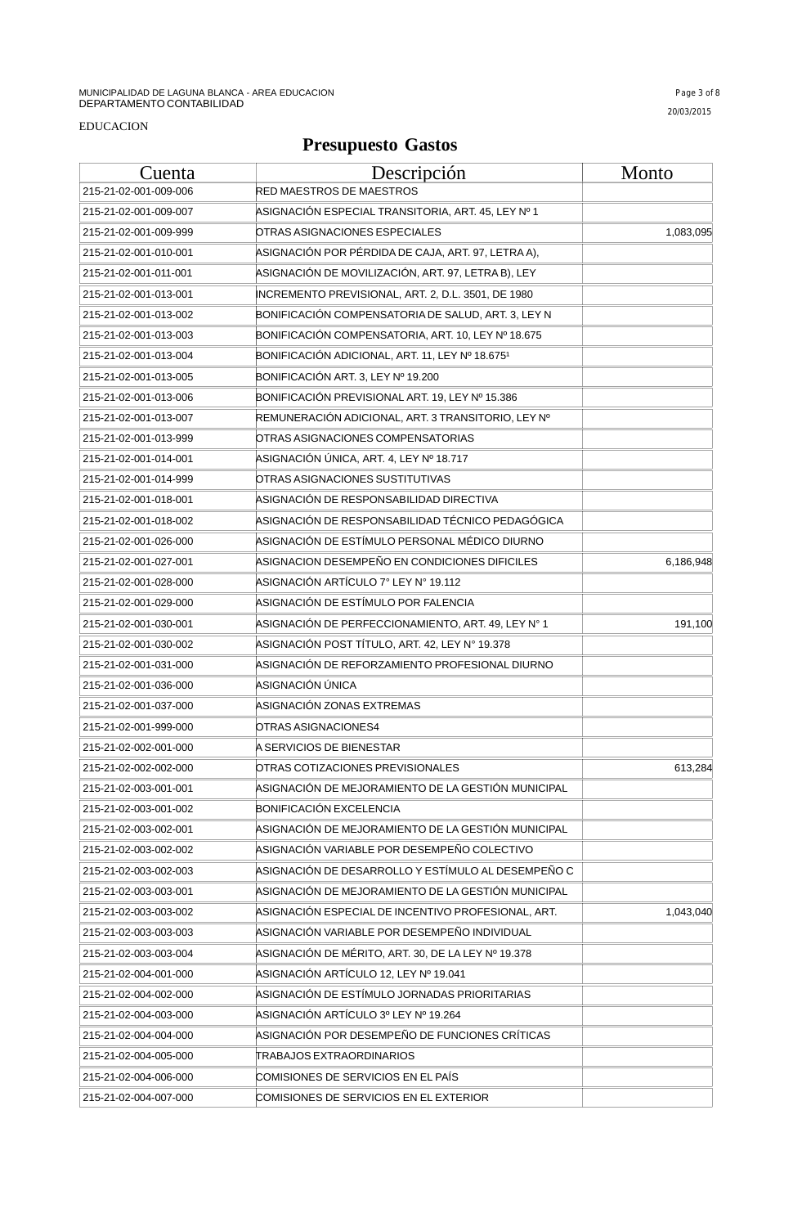#### EDUCACION

| Cuenta                | Descripción                                        | <b>Monto</b> |
|-----------------------|----------------------------------------------------|--------------|
| 215-21-02-001-009-006 | RED MAESTROS DE MAESTROS                           |              |
| 215-21-02-001-009-007 | ASIGNACIÓN ESPECIAL TRANSITORIA, ART. 45, LEY № 1  |              |
| 215-21-02-001-009-999 | OTRAS ASIGNACIONES ESPECIALES                      | 1,083,095    |
| 215-21-02-001-010-001 | ASIGNACIÓN POR PÉRDIDA DE CAJA, ART. 97, LETRA A), |              |
| 215-21-02-001-011-001 | ASIGNACIÓN DE MOVILIZACIÓN, ART. 97, LETRA B), LEY |              |
| 215-21-02-001-013-001 | INCREMENTO PREVISIONAL, ART. 2, D.L. 3501, DE 1980 |              |
| 215-21-02-001-013-002 | BONIFICACIÓN COMPENSATORIA DE SALUD, ART. 3, LEY N |              |
| 215-21-02-001-013-003 | BONIFICACIÓN COMPENSATORIA, ART. 10, LEY Nº 18.675 |              |
| 215-21-02-001-013-004 | BONIFICACIÓN ADICIONAL, ART. 11, LEY Nº 18.6751    |              |
| 215-21-02-001-013-005 | BONIFICACIÓN ART. 3, LEY Nº 19.200                 |              |
| 215-21-02-001-013-006 | BONIFICACIÓN PREVISIONAL ART. 19, LEY Nº 15.386    |              |
| 215-21-02-001-013-007 | REMUNERACIÓN ADICIONAL, ART. 3 TRANSITORIO, LEY Nº |              |
| 215-21-02-001-013-999 | OTRAS ASIGNACIONES COMPENSATORIAS                  |              |
| 215-21-02-001-014-001 | ASIGNACIÓN ÚNICA, ART. 4, LEY № 18.717             |              |
| 215-21-02-001-014-999 | OTRAS ASIGNACIONES SUSTITUTIVAS                    |              |
| 215-21-02-001-018-001 | ASIGNACIÓN DE RESPONSABILIDAD DIRECTIVA            |              |
| 215-21-02-001-018-002 | ASIGNACIÓN DE RESPONSABILIDAD TÉCNICO PEDAGÓGICA   |              |
| 215-21-02-001-026-000 | ASIGNACIÓN DE ESTÍMULO PERSONAL MÉDICO DIURNO      |              |
| 215-21-02-001-027-001 | ASIGNACION DESEMPEÑO EN CONDICIONES DIFICILES      | 6,186,948    |
| 215-21-02-001-028-000 | ASIGNACIÓN ARTÍCULO 7º LEY Nº 19.112               |              |
| 215-21-02-001-029-000 | ASIGNACIÓN DE ESTÍMULO POR FALENCIA                |              |
| 215-21-02-001-030-001 | ASIGNACIÓN DE PERFECCIONAMIENTO, ART. 49, LEY N° 1 | 191,100      |
| 215-21-02-001-030-002 | ASIGNACIÓN POST TÍTULO, ART. 42, LEY N° 19.378     |              |
| 215-21-02-001-031-000 | ASIGNACIÓN DE REFORZAMIENTO PROFESIONAL DIURNO     |              |
| 215-21-02-001-036-000 | ASIGNACIÓN ÚNICA                                   |              |
| 215-21-02-001-037-000 | ASIGNACIÓN ZONAS EXTREMAS                          |              |
| 215-21-02-001-999-000 | OTRAS ASIGNACIONES4                                |              |
| 215-21-02-002-001-000 | A SERVICIOS DE BIENESTAR                           |              |
| 215-21-02-002-002-000 | OTRAS COTIZACIONES PREVISIONALES                   | 613,284      |
| 215-21-02-003-001-001 | ASIGNACIÓN DE MEJORAMIENTO DE LA GESTIÓN MUNICIPAL |              |
| 215-21-02-003-001-002 | <b>BONIFICACIÓN EXCELENCIA</b>                     |              |
| 215-21-02-003-002-001 | ASIGNACIÓN DE MEJORAMIENTO DE LA GESTIÓN MUNICIPAL |              |
| 215-21-02-003-002-002 | ASIGNACIÓN VARIABLE POR DESEMPEÑO COLECTIVO        |              |
| 215-21-02-003-002-003 | ASIGNACIÓN DE DESARROLLO Y ESTÍMULO AL DESEMPEÑO C |              |
| 215-21-02-003-003-001 | ASIGNACIÓN DE MEJORAMIENTO DE LA GESTIÓN MUNICIPAL |              |
| 215-21-02-003-003-002 | ASIGNACIÓN ESPECIAL DE INCENTIVO PROFESIONAL, ART. | 1,043,040    |
| 215-21-02-003-003-003 | ASIGNACIÓN VARIABLE POR DESEMPEÑO INDIVIDUAL       |              |
| 215-21-02-003-003-004 | ASIGNACIÓN DE MÉRITO, ART. 30, DE LA LEY № 19.378  |              |
| 215-21-02-004-001-000 | ASIGNACIÓN ARTÍCULO 12, LEY Nº 19.041              |              |
| 215-21-02-004-002-000 | ASIGNACIÓN DE ESTÍMULO JORNADAS PRIORITARIAS       |              |
| 215-21-02-004-003-000 | ASIGNACIÓN ARTÍCULO 3º LEY № 19.264                |              |
| 215-21-02-004-004-000 | ASIGNACIÓN POR DESEMPEÑO DE FUNCIONES CRÍTICAS     |              |
| 215-21-02-004-005-000 | TRABAJOS EXTRAORDINARIOS                           |              |
| 215-21-02-004-006-000 | COMISIONES DE SERVICIOS EN EL PAÍS                 |              |
| 215-21-02-004-007-000 | COMISIONES DE SERVICIOS EN EL EXTERIOR             |              |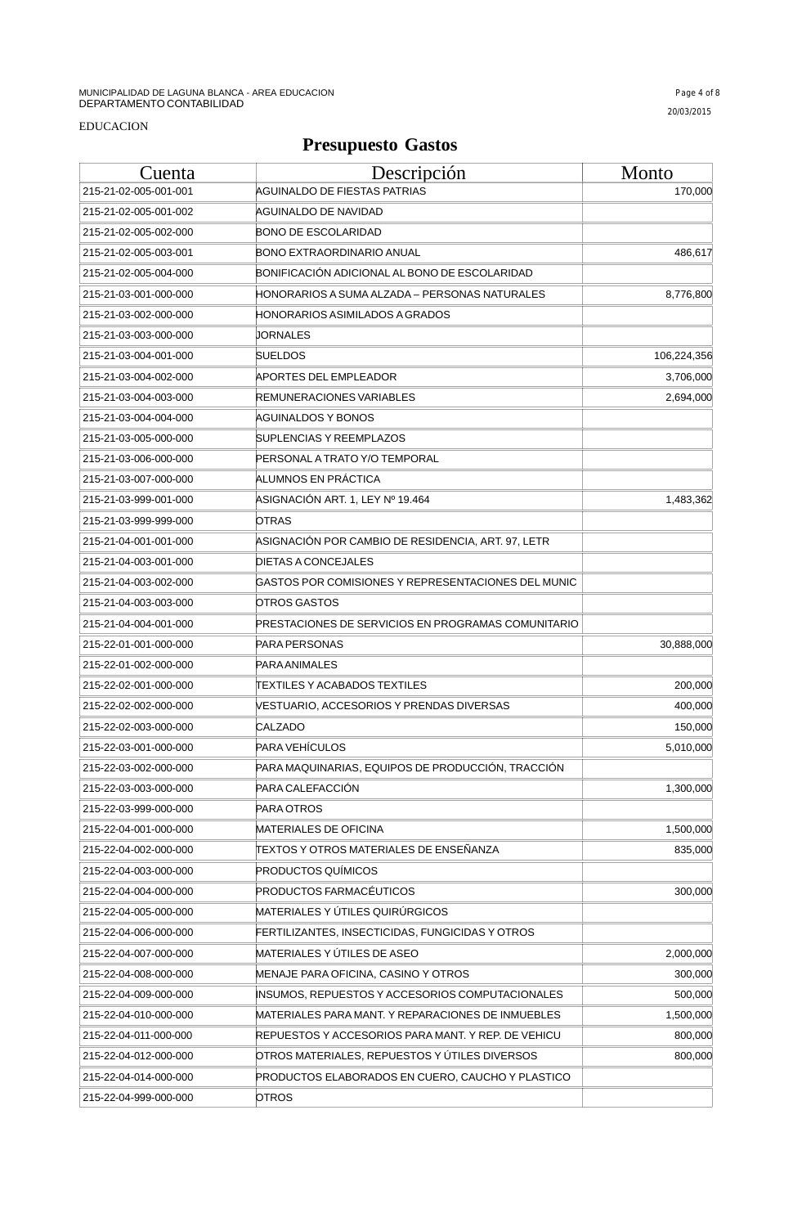#### EDUCACION

| Cuenta                | <u>Descripción</u>                                 | <u>Monto</u> |
|-----------------------|----------------------------------------------------|--------------|
| 215-21-02-005-001-001 | AGUINALDO DE FIESTAS PATRIAS                       | 170,000      |
| 215-21-02-005-001-002 | AGUINALDO DE NAVIDAD                               |              |
| 215-21-02-005-002-000 | BONO DE ESCOLARIDAD                                |              |
| 215-21-02-005-003-001 | BONO EXTRAORDINARIO ANUAL                          | 486,617      |
| 215-21-02-005-004-000 | BONIFICACIÓN ADICIONAL AL BONO DE ESCOLARIDAD      |              |
| 215-21-03-001-000-000 | HONORARIOS A SUMA ALZADA – PERSONAS NATURALES      | 8,776,800    |
| 215-21-03-002-000-000 | HONORARIOS ASIMILADOS A GRADOS                     |              |
| 215-21-03-003-000-000 | JORNALES                                           |              |
| 215-21-03-004-001-000 | SUELDOS                                            | 106,224,356  |
| 215-21-03-004-002-000 | APORTES DEL EMPLEADOR                              | 3,706,000    |
| 215-21-03-004-003-000 | REMUNERACIONES VARIABLES                           | 2,694,000    |
| 215-21-03-004-004-000 | AGUINALDOS Y BONOS                                 |              |
| 215-21-03-005-000-000 | <b>SUPLENCIAS Y REEMPLAZOS</b>                     |              |
| 215-21-03-006-000-000 | PERSONAL A TRATO Y/O TEMPORAL                      |              |
| 215-21-03-007-000-000 | ALUMNOS EN PRÁCTICA                                |              |
| 215-21-03-999-001-000 | ASIGNACIÓN ART. 1, LEY № 19.464                    | 1,483,362    |
| 215-21-03-999-999-000 | OTRAS                                              |              |
| 215-21-04-001-001-000 | ASIGNACIÓN POR CAMBIO DE RESIDENCIA, ART. 97, LETR |              |
| 215-21-04-003-001-000 | DIETAS A CONCEJALES                                |              |
| 215-21-04-003-002-000 | GASTOS POR COMISIONES Y REPRESENTACIONES DEL MUNIC |              |
| 215-21-04-003-003-000 | <b>OTROS GASTOS</b>                                |              |
| 215-21-04-004-001-000 | PRESTACIONES DE SERVICIOS EN PROGRAMAS COMUNITARIO |              |
| 215-22-01-001-000-000 | PARA PERSONAS                                      | 30,888,000   |
| 215-22-01-002-000-000 | PARAANIMALES                                       |              |
| 215-22-02-001-000-000 | TEXTILES Y ACABADOS TEXTILES                       | 200,000      |
| 215-22-02-002-000-000 | VESTUARIO, ACCESORIOS Y PRENDAS DIVERSAS           | 400,000      |
| 215-22-02-003-000-000 | CALZADO                                            | 150,000      |
| 215-22-03-001-000-000 | PARA VEHÍCULOS                                     | 5,010,000    |
| 215-22-03-002-000-000 | PARA MAQUINARIAS, EQUIPOS DE PRODUCCIÓN, TRACCIÓN  |              |
| 215-22-03-003-000-000 | PARA CALEFACCIÓN                                   | 1,300,000    |
| 215-22-03-999-000-000 | PARA OTROS                                         |              |
| 215-22-04-001-000-000 | MATERIALES DE OFICINA                              | 1,500,000    |
| 215-22-04-002-000-000 | ITEXTOS Y OTROS MATERIALES DE ENSEÑANZA            | 835,000      |
| 215-22-04-003-000-000 | <b>PRODUCTOS QUÍMICOS</b>                          |              |
| 215-22-04-004-000-000 | PRODUCTOS FARMACÉUTICOS                            | 300,000      |
| 215-22-04-005-000-000 | MATERIALES Y ÚTILES QUIRÚRGICOS                    |              |
| 215-22-04-006-000-000 | FERTILIZANTES, INSECTICIDAS, FUNGICIDAS Y OTROS    |              |
| 215-22-04-007-000-000 | MATERIALES Y ÚTILES DE ASEO                        | 2,000,000    |
| 215-22-04-008-000-000 | MENAJE PARA OFICINA, CASINO Y OTROS                | 300,000      |
| 215-22-04-009-000-000 | INSUMOS, REPUESTOS Y ACCESORIOS COMPUTACIONALES    | 500,000      |
| 215-22-04-010-000-000 | MATERIALES PARA MANT. Y REPARACIONES DE INMUEBLES  | 1,500,000    |
| 215-22-04-011-000-000 | REPUESTOS Y ACCESORIOS PARA MANT. Y REP. DE VEHICU | 800,000      |
| 215-22-04-012-000-000 | OTROS MATERIALES, REPUESTOS Y ÚTILES DIVERSOS      | 800,000      |
| 215-22-04-014-000-000 | PRODUCTOS ELABORADOS EN CUERO, CAUCHO Y PLASTICO   |              |
| 215-22-04-999-000-000 | OTROS                                              |              |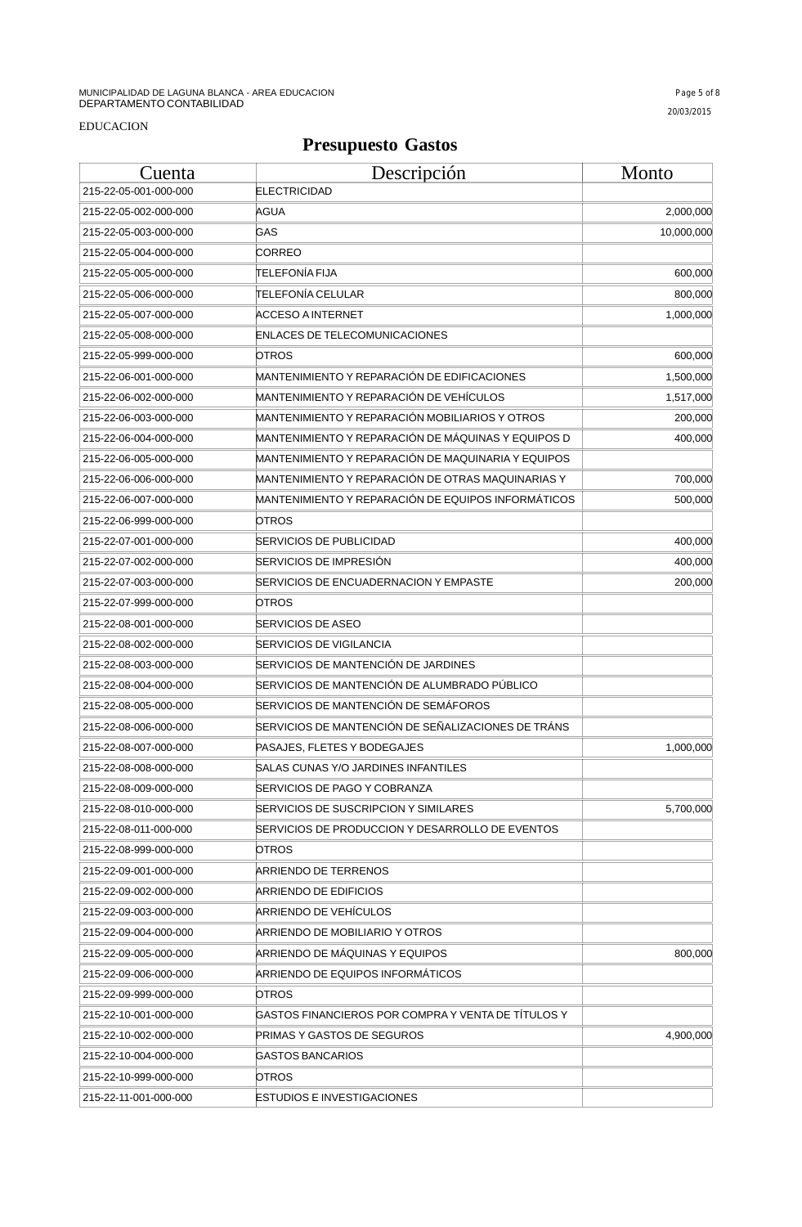| C <u>uenta</u>        | Descripción                                        | <b>Monto</b> |
|-----------------------|----------------------------------------------------|--------------|
| 215-22-05-001-000-000 | <b>ELECTRICIDAD</b>                                |              |
| 215-22-05-002-000-000 | AGUA                                               | 2,000,000    |
| 215-22-05-003-000-000 | GAS                                                | 10,000,000   |
| 215-22-05-004-000-000 | CORREO                                             |              |
| 215-22-05-005-000-000 | <b>TELEFONÍA FIJA</b>                              | 600,000      |
| 215-22-05-006-000-000 | TELEFONÍA CELULAR                                  | 800,000      |
| 215-22-05-007-000-000 | ACCESO A INTERNET                                  | 1,000,000    |
| 215-22-05-008-000-000 | ENLACES DE TELECOMUNICACIONES                      |              |
| 215-22-05-999-000-000 | OTROS                                              | 600,000      |
| 215-22-06-001-000-000 | MANTENIMIENTO Y REPARACIÓN DE EDIFICACIONES        | 1,500,000    |
| 215-22-06-002-000-000 | MANTENIMIENTO Y REPARACIÓN DE VEHÍCULOS            | 1,517,000    |
| 215-22-06-003-000-000 | MANTENIMIENTO Y REPARACIÓN MOBILIARIOS Y OTROS     | 200,000      |
| 215-22-06-004-000-000 | MANTENIMIENTO Y REPARACIÓN DE MÁQUINAS Y EQUIPOS D | 400,000      |
| 215-22-06-005-000-000 | MANTENIMIENTO Y REPARACIÓN DE MAQUINARIA Y EQUIPOS |              |
| 215-22-06-006-000-000 | MANTENIMIENTO Y REPARACIÓN DE OTRAS MAQUINARIAS Y  | 700,000      |
| 215-22-06-007-000-000 | MANTENIMIENTO Y REPARACIÓN DE EQUIPOS INFORMÁTICOS | 500,000      |
| 215-22-06-999-000-000 | <b>OTROS</b>                                       |              |
| 215-22-07-001-000-000 | SERVICIOS DE PUBLICIDAD                            | 400,000      |
| 215-22-07-002-000-000 | SERVICIOS DE IMPRESIÓN                             | 400,000      |
| 215-22-07-003-000-000 | SERVICIOS DE ENCUADERNACION Y EMPASTE              | 200,000      |
| 215-22-07-999-000-000 | OTROS                                              |              |
| 215-22-08-001-000-000 | <b>SERVICIOS DE ASEO</b>                           |              |
| 215-22-08-002-000-000 | <b>SERVICIOS DE VIGILANCIA</b>                     |              |
| 215-22-08-003-000-000 | SERVICIOS DE MANTENCIÓN DE JARDINES                |              |
| 215-22-08-004-000-000 | SERVICIOS DE MANTENCIÓN DE ALUMBRADO PÚBLICO       |              |
| 215-22-08-005-000-000 | SERVICIOS DE MANTENCIÓN DE SEMÁFOROS               |              |
| 215-22-08-006-000-000 | SERVICIOS DE MANTENCIÓN DE SEÑALIZACIONES DE TRÁNS |              |
| 215-22-08-007-000-000 | PASAJES. FLETES Y BODEGAJES                        | 1,000,000    |
| 215-22-08-008-000-000 | SALAS CUNAS Y/O JARDINES INFANTILES                |              |
| 215-22-08-009-000-000 | SERVICIOS DE PAGO Y COBRANZA                       |              |
| 215-22-08-010-000-000 | SERVICIOS DE SUSCRIPCION Y SIMILARES               | 5,700,000    |
| 215-22-08-011-000-000 | SERVICIOS DE PRODUCCION Y DESARROLLO DE EVENTOS    |              |
| 215-22-08-999-000-000 | OTROS                                              |              |
| 215-22-09-001-000-000 | ARRIENDO DE TERRENOS                               |              |
| 215-22-09-002-000-000 | ARRIENDO DE EDIFICIOS                              |              |
| 215-22-09-003-000-000 | ARRIENDO DE VEHÍCULOS                              |              |
| 215-22-09-004-000-000 | ARRIENDO DE MOBILIARIO Y OTROS                     |              |
| 215-22-09-005-000-000 | ARRIENDO DE MÁQUINAS Y EQUIPOS                     | 800,000      |
| 215-22-09-006-000-000 | ARRIENDO DE EQUIPOS INFORMATICOS                   |              |
| 215-22-09-999-000-000 | OTROS                                              |              |
| 215-22-10-001-000-000 | GASTOS FINANCIEROS POR COMPRA Y VENTA DE TÍTULOS Y |              |
| 215-22-10-002-000-000 | PRIMAS Y GASTOS DE SEGUROS                         | 4,900,000    |
| 215-22-10-004-000-000 | GASTOS BANCARIOS                                   |              |
| 215-22-10-999-000-000 | OTROS                                              |              |
| 215-22-11-001-000-000 | <b>ESTUDIOS E INVESTIGACIONES</b>                  |              |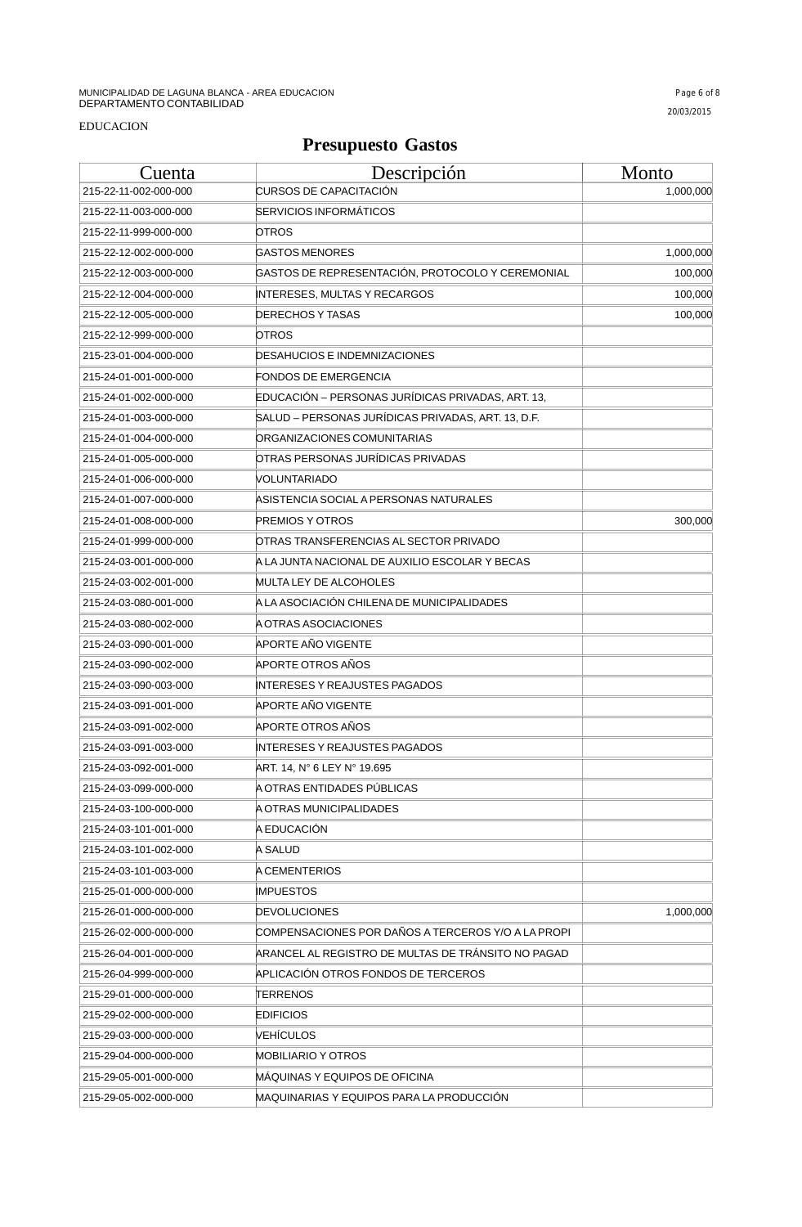| Cuenta                | Descripción                                        | <b>Monto</b> |
|-----------------------|----------------------------------------------------|--------------|
| 215-22-11-002-000-000 | <b>CURSOS DE CAPACITACIÓN</b>                      | 1,000,000    |
| 215-22-11-003-000-000 | <b>SERVICIOS INFORMÁTICOS</b>                      |              |
| 215-22-11-999-000-000 | OTROS                                              |              |
| 215-22-12-002-000-000 | <b>GASTOS MENORES</b>                              | 1,000,000    |
| 215-22-12-003-000-000 | GASTOS DE REPRESENTACIÓN, PROTOCOLO Y CEREMONIAL   | 100,000      |
| 215-22-12-004-000-000 | <b>INTERESES, MULTAS Y RECARGOS</b>                | 100,000      |
| 215-22-12-005-000-000 | DERECHOS Y TASAS                                   | 100,000      |
| 215-22-12-999-000-000 | OTROS                                              |              |
| 215-23-01-004-000-000 | DESAHUCIOS E INDEMNIZACIONES                       |              |
| 215-24-01-001-000-000 | FONDOS DE EMERGENCIA                               |              |
| 215-24-01-002-000-000 | EDUCACIÓN - PERSONAS JURÍDICAS PRIVADAS, ART. 13,  |              |
| 215-24-01-003-000-000 | SALUD – PERSONAS JURÍDICAS PRIVADAS, ART. 13, D.F. |              |
| 215-24-01-004-000-000 | ORGANIZACIONES COMUNITARIAS                        |              |
| 215-24-01-005-000-000 | OTRAS PERSONAS JURÍDICAS PRIVADAS                  |              |
| 215-24-01-006-000-000 | VOLUNTARIADO                                       |              |
| 215-24-01-007-000-000 | ASISTENCIA SOCIAL A PERSONAS NATURALES             |              |
| 215-24-01-008-000-000 | PREMIOS Y OTROS                                    | 300,000      |
| 215-24-01-999-000-000 | OTRAS TRANSFERENCIAS AL SECTOR PRIVADO             |              |
| 215-24-03-001-000-000 | A LA JUNTA NACIONAL DE AUXILIO ESCOLAR Y BECAS     |              |
| 215-24-03-002-001-000 | MULTA LEY DE ALCOHOLES                             |              |
| 215-24-03-080-001-000 | A LA ASOCIACIÓN CHILENA DE MUNICIPALIDADES         |              |
| 215-24-03-080-002-000 | A OTRAS ASOCIACIONES                               |              |
| 215-24-03-090-001-000 | APORTE AÑO VIGENTE                                 |              |
| 215-24-03-090-002-000 | APORTE OTROS AÑOS                                  |              |
| 215-24-03-090-003-000 | INTERESES Y REAJUSTES PAGADOS                      |              |
| 215-24-03-091-001-000 | APORTE AÑO VIGENTE                                 |              |
| 215-24-03-091-002-000 | <b>APORTE OTROS AÑOS</b>                           |              |
| 215-24-03-091-003-000 | INTERESES Y REAJUSTES PAGADOS                      |              |
| 215-24-03-092-001-000 | ART. 14, N° 6 LEY N° 19.695                        |              |
| 215-24-03-099-000-000 | A OTRAS ENTIDADES PÚBLICAS                         |              |
| 215-24-03-100-000-000 | A OTRAS MUNICIPALIDADES                            |              |
| 215-24-03-101-001-000 | A EDUCACIÓN                                        |              |
| 215-24-03-101-002-000 | A SALUD                                            |              |
| 215-24-03-101-003-000 | A CEMENTERIOS                                      |              |
| 215-25-01-000-000-000 | <b>IMPUESTOS</b>                                   |              |
| 215-26-01-000-000-000 | <b>DEVOLUCIONES</b>                                | 1,000,000    |
| 215-26-02-000-000-000 | COMPENSACIONES POR DAÑOS A TERCEROS Y/O A LA PROPI |              |
| 215-26-04-001-000-000 | ARANCEL AL REGISTRO DE MULTAS DE TRÁNSITO NO PAGAD |              |
| 215-26-04-999-000-000 | APLICACIÓN OTROS FONDOS DE TERCEROS                |              |
| 215-29-01-000-000-000 | TERRENOS                                           |              |
| 215-29-02-000-000-000 | <b>EDIFICIOS</b>                                   |              |
| 215-29-03-000-000-000 | VEHÍCULOS                                          |              |
| 215-29-04-000-000-000 | MOBILIARIO Y OTROS                                 |              |
| 215-29-05-001-000-000 | MAQUINAS Y EQUIPOS DE OFICINA                      |              |
| 215-29-05-002-000-000 | MAQUINARIAS Y EQUIPOS PARA LA PRODUCCIÓN           |              |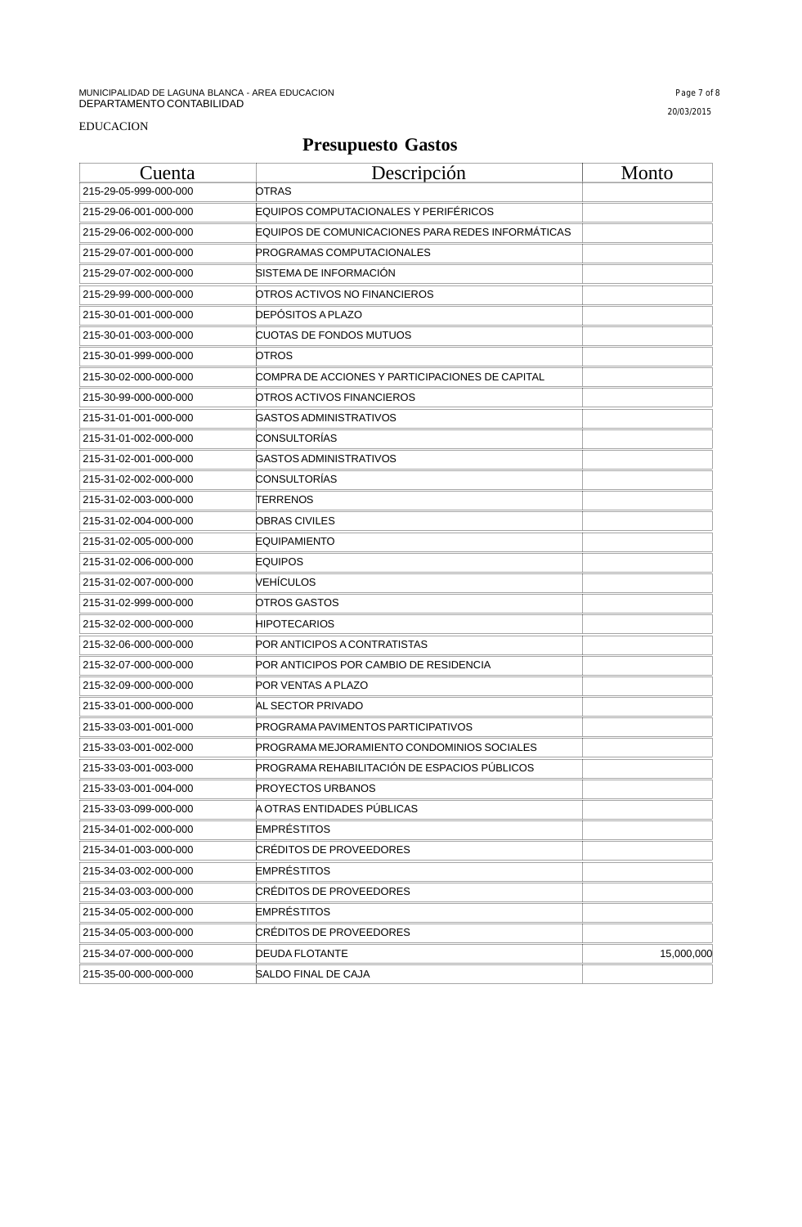| Cuenta                | Descripción                                       | Monto      |
|-----------------------|---------------------------------------------------|------------|
| 215-29-05-999-000-000 | <b>OTRAS</b>                                      |            |
| 215-29-06-001-000-000 | EQUIPOS COMPUTACIONALES Y PERIFÉRICOS             |            |
| 215-29-06-002-000-000 | EQUIPOS DE COMUNICACIONES PARA REDES INFORMÁTICAS |            |
| 215-29-07-001-000-000 | <b>PROGRAMAS COMPUTACIONALES</b>                  |            |
| 215-29-07-002-000-000 | SISTEMA DE INFORMACION                            |            |
| 215-29-99-000-000-000 | OTROS ACTIVOS NO FINANCIEROS                      |            |
| 215-30-01-001-000-000 | <b>DEPOSITOS A PLAZO</b>                          |            |
| 215-30-01-003-000-000 | CUOTAS DE FONDOS MUTUOS                           |            |
| 215-30-01-999-000-000 | OTROS                                             |            |
| 215-30-02-000-000-000 | COMPRA DE ACCIONES Y PARTICIPACIONES DE CAPITAL   |            |
| 215-30-99-000-000-000 | OTROS ACTIVOS FINANCIEROS                         |            |
| 215-31-01-001-000-000 | GASTOS ADMINISTRATIVOS                            |            |
| 215-31-01-002-000-000 | CONSULTORÍAS                                      |            |
| 215-31-02-001-000-000 | GASTOS ADMINISTRATIVOS                            |            |
| 215-31-02-002-000-000 | CONSULTORIAS                                      |            |
| 215-31-02-003-000-000 | TERRENOS                                          |            |
| 215-31-02-004-000-000 | OBRAS CIVILES                                     |            |
| 215-31-02-005-000-000 | EQUIPAMIENTO                                      |            |
| 215-31-02-006-000-000 | <b>EQUIPOS</b>                                    |            |
| 215-31-02-007-000-000 | VEHICULOS                                         |            |
| 215-31-02-999-000-000 | OTROS GASTOS                                      |            |
| 215-32-02-000-000-000 | <b>HIPOTECARIOS</b>                               |            |
| 215-32-06-000-000-000 | POR ANTICIPOS A CONTRATISTAS                      |            |
| 215-32-07-000-000-000 | POR ANTICIPOS POR CAMBIO DE RESIDENCIA            |            |
| 215-32-09-000-000-000 | POR VENTAS A PLAZO                                |            |
| 215-33-01-000-000-000 | AL SECTOR PRIVADO                                 |            |
| 215-33-03-001-001-000 | PROGRAMA PAVIMENTOS PARTICIPATIVOS                |            |
| 215-33-03-001-002-000 | PROGRAMA MEJORAMIENTO CONDOMINIOS SOCIALES        |            |
| 215-33-03-001-003-000 | PROGRAMA REHABILITACIÓN DE ESPACIOS PÚBLICOS      |            |
| 215-33-03-001-004-000 | <b>PROYECTOS URBANOS</b>                          |            |
| 215-33-03-099-000-000 | A OTRAS ENTIDADES PUBLICAS                        |            |
| 215-34-01-002-000-000 | <b>EMPRÉSTITOS</b>                                |            |
| 215-34-01-003-000-000 | CRÉDITOS DE PROVEEDORES                           |            |
| 215-34-03-002-000-000 | <b>EMPRÉSTITOS</b>                                |            |
| 215-34-03-003-000-000 | <b>CRÉDITOS DE PROVEEDORES</b>                    |            |
| 215-34-05-002-000-000 | <b>EMPRÉSTITOS</b>                                |            |
| 215-34-05-003-000-000 | CRÉDITOS DE PROVEEDORES                           |            |
| 215-34-07-000-000-000 | <b>DEUDA FLOTANTE</b>                             | 15,000,000 |
| 215-35-00-000-000-000 | SALDO FINAL DE CAJA                               |            |